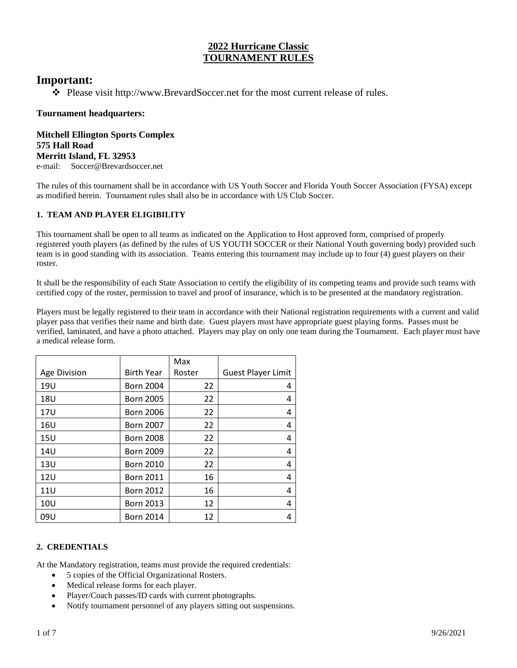# **2022 Hurricane Classic TOURNAMENT RULES**

# **Important:**

❖ Please visit http://www.BrevardSoccer.net for the most current release of rules.

# **Tournament headquarters:**

**Mitchell Ellington Sports Complex 575 Hall Road Merritt Island, FL 32953** e-mail: Soccer@Brevardsoccer.net

The rules of this tournament shall be in accordance with US Youth Soccer and Florida Youth Soccer Association (FYSA) except as modified herein. Tournament rules shall also be in accordance with US Club Soccer.

# **1. TEAM AND PLAYER ELIGIBILITY**

This tournament shall be open to all teams as indicated on the Application to Host approved form, comprised of properly registered youth players (as defined by the rules of US YOUTH SOCCER or their National Youth governing body) provided such team is in good standing with its association. Teams entering this tournament may include up to four (4) guest players on their roster.

It shall be the responsibility of each State Association to certify the eligibility of its competing teams and provide such teams with certified copy of the roster, permission to travel and proof of insurance, which is to be presented at the mandatory registration.

Players must be legally registered to their team in accordance with their National registration requirements with a current and valid player pass that verifies their name and birth date. Guest players must have appropriate guest playing forms. Passes must be verified, laminated, and have a photo attached. Players may play on only one team during the Tournament. Each player must have a medical release form.

|              |                   | Max    |                           |
|--------------|-------------------|--------|---------------------------|
| Age Division | <b>Birth Year</b> | Roster | <b>Guest Player Limit</b> |
| 19U          | <b>Born 2004</b>  | 22     | 4                         |
| <b>18U</b>   | <b>Born 2005</b>  | 22     | 4                         |
| <b>17U</b>   | <b>Born 2006</b>  | 22     | 4                         |
| 16U          | <b>Born 2007</b>  | 22     | 4                         |
| 15U          | <b>Born 2008</b>  | 22     | 4                         |
| 14U          | <b>Born 2009</b>  | 22     | 4                         |
| 13U          | <b>Born 2010</b>  | 22     | 4                         |
| 12U          | <b>Born 2011</b>  | 16     | 4                         |
| <b>11U</b>   | <b>Born 2012</b>  | 16     | 4                         |
| 10U          | <b>Born 2013</b>  | 12     | 4                         |
| 09U          | <b>Born 2014</b>  | 12     | 4                         |

# **2. CREDENTIALS**

At the Mandatory registration, teams must provide the required credentials:

- 5 copies of the Official Organizational Rosters.
- Medical release forms for each player.
- Player/Coach passes/ID cards with current photographs.
- Notify tournament personnel of any players sitting out suspensions.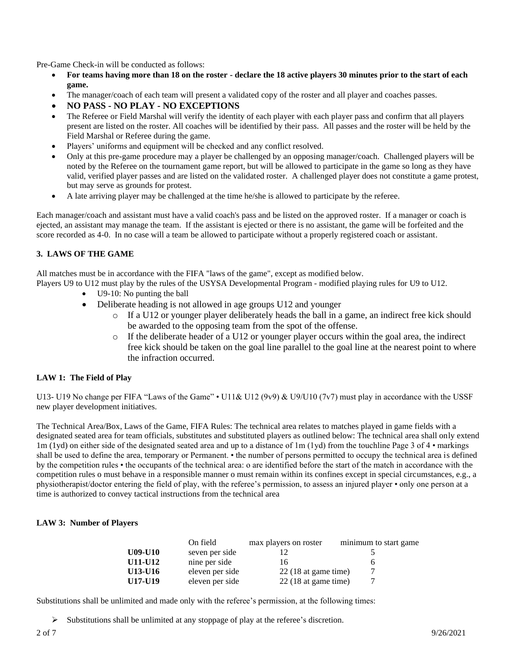Pre-Game Check-in will be conducted as follows:

- **For teams having more than 18 on the roster - declare the 18 active players 30 minutes prior to the start of each game.**
- The manager/coach of each team will present a validated copy of the roster and all player and coaches passes.
- **NO PASS - NO PLAY - NO EXCEPTIONS**
- The Referee or Field Marshal will verify the identity of each player with each player pass and confirm that all players present are listed on the roster. All coaches will be identified by their pass. All passes and the roster will be held by the Field Marshal or Referee during the game.
- Players' uniforms and equipment will be checked and any conflict resolved.
- Only at this pre-game procedure may a player be challenged by an opposing manager/coach. Challenged players will be noted by the Referee on the tournament game report, but will be allowed to participate in the game so long as they have valid, verified player passes and are listed on the validated roster. A challenged player does not constitute a game protest, but may serve as grounds for protest.
- A late arriving player may be challenged at the time he/she is allowed to participate by the referee.

Each manager/coach and assistant must have a valid coach's pass and be listed on the approved roster. If a manager or coach is ejected, an assistant may manage the team. If the assistant is ejected or there is no assistant, the game will be forfeited and the score recorded as 4-0. In no case will a team be allowed to participate without a properly registered coach or assistant.

#### **3. LAWS OF THE GAME**

All matches must be in accordance with the FIFA "laws of the game", except as modified below.

Players U9 to U12 must play by the rules of the USYSA Developmental Program - modified playing rules for U9 to U12.

- U9-10: No punting the ball
- Deliberate heading is not allowed in age groups U12 and younger
	- o If a U12 or younger player deliberately heads the ball in a game, an indirect free kick should be awarded to the opposing team from the spot of the offense.
	- o If the deliberate header of a U12 or younger player occurs within the goal area, the indirect free kick should be taken on the goal line parallel to the goal line at the nearest point to where the infraction occurred.

## **LAW 1: The Field of Play**

U13- U19 No change per FIFA "Laws of the Game" • U11& U12 (9v9) & U9/U10 (7v7) must play in accordance with the USSF new player development initiatives.

The Technical Area/Box, Laws of the Game, FIFA Rules: The technical area relates to matches played in game fields with a designated seated area for team officials, substitutes and substituted players as outlined below: The technical area shall only extend 1m (1yd) on either side of the designated seated area and up to a distance of 1m (1yd) from the touchline Page 3 of 4 • markings shall be used to define the area, temporary or Permanent. • the number of persons permitted to occupy the technical area is defined by the competition rules • the occupants of the technical area: o are identified before the start of the match in accordance with the competition rules o must behave in a responsible manner o must remain within its confines except in special circumstances, e.g., a physiotherapist/doctor entering the field of play, with the referee's permission, to assess an injured player • only one person at a time is authorized to convey tactical instructions from the technical area

## **LAW 3: Number of Players**

|                | On field        | max players on roster | minimum to start game |
|----------------|-----------------|-----------------------|-----------------------|
| <b>U09-U10</b> | seven per side  |                       |                       |
| U11-U12        | nine per side   | 16                    |                       |
| U13-U16        | eleven per side | $22(18$ at game time) |                       |
| U17-U19        | eleven per side | $22(18$ at game time) |                       |

Substitutions shall be unlimited and made only with the referee's permission, at the following times:

➢ Substitutions shall be unlimited at any stoppage of play at the referee's discretion.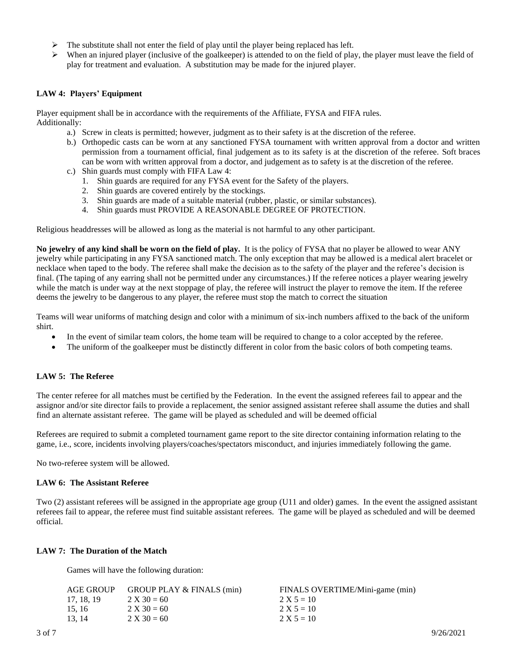- $\triangleright$  The substitute shall not enter the field of play until the player being replaced has left.
- $\triangleright$  When an injured player (inclusive of the goalkeeper) is attended to on the field of play, the player must leave the field of play for treatment and evaluation. A substitution may be made for the injured player.

#### **LAW 4: Players' Equipment**

Player equipment shall be in accordance with the requirements of the Affiliate, FYSA and FIFA rules. Additionally:

- a.) Screw in cleats is permitted; however, judgment as to their safety is at the discretion of the referee.
- b.) Orthopedic casts can be worn at any sanctioned FYSA tournament with written approval from a doctor and written permission from a tournament official, final judgement as to its safety is at the discretion of the referee. Soft braces can be worn with written approval from a doctor, and judgement as to safety is at the discretion of the referee.
- c.) Shin guards must comply with FIFA Law 4:
	- 1. Shin guards are required for any FYSA event for the Safety of the players.
	- 2. Shin guards are covered entirely by the stockings.
	- 3. Shin guards are made of a suitable material (rubber, plastic, or similar substances).
	- 4. Shin guards must PROVIDE A REASONABLE DEGREE OF PROTECTION.

Religious headdresses will be allowed as long as the material is not harmful to any other participant.

**No jewelry of any kind shall be worn on the field of play.** It is the policy of FYSA that no player be allowed to wear ANY jewelry while participating in any FYSA sanctioned match. The only exception that may be allowed is a medical alert bracelet or necklace when taped to the body. The referee shall make the decision as to the safety of the player and the referee's decision is final. (The taping of any earring shall not be permitted under any circumstances.) If the referee notices a player wearing jewelry while the match is under way at the next stoppage of play, the referee will instruct the player to remove the item. If the referee deems the jewelry to be dangerous to any player, the referee must stop the match to correct the situation

Teams will wear uniforms of matching design and color with a minimum of six-inch numbers affixed to the back of the uniform shirt.

- In the event of similar team colors, the home team will be required to change to a color accepted by the referee.
- The uniform of the goalkeeper must be distinctly different in color from the basic colors of both competing teams.

## **LAW 5: The Referee**

The center referee for all matches must be certified by the Federation. In the event the assigned referees fail to appear and the assignor and/or site director fails to provide a replacement, the senior assigned assistant referee shall assume the duties and shall find an alternate assistant referee. The game will be played as scheduled and will be deemed official

Referees are required to submit a completed tournament game report to the site director containing information relating to the game, i.e., score, incidents involving players/coaches/spectators misconduct, and injuries immediately following the game.

No two-referee system will be allowed.

#### **LAW 6: The Assistant Referee**

Two (2) assistant referees will be assigned in the appropriate age group (U11 and older) games. In the event the assigned assistant referees fail to appear, the referee must find suitable assistant referees. The game will be played as scheduled and will be deemed official.

#### **LAW 7: The Duration of the Match**

Games will have the following duration:

| AGE GROUP  | GROUP PLAY & FINALS (min) | FINALS OVERTIME/Mini-game (min) |
|------------|---------------------------|---------------------------------|
| 17, 18, 19 | $2 X 30 = 60$             | $2 X 5 = 10$                    |
| 15.16      | $2 X 30 = 60$             | $2 X 5 = 10$                    |
| 13.14      | $2 X 30 = 60$             | $2 X 5 = 10$                    |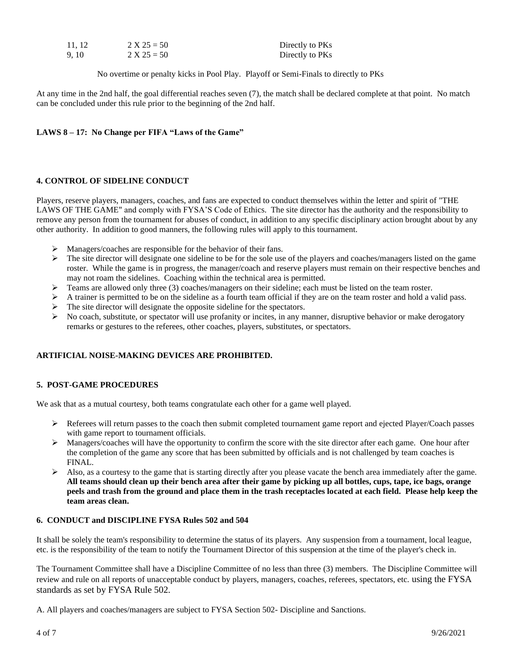| 11, 12 | $2 X 25 = 50$ | Directly to PKs |
|--------|---------------|-----------------|
| 9, 10  | $2 X 25 = 50$ | Directly to PKs |

No overtime or penalty kicks in Pool Play. Playoff or Semi-Finals to directly to PKs

At any time in the 2nd half, the goal differential reaches seven (7), the match shall be declared complete at that point. No match can be concluded under this rule prior to the beginning of the 2nd half.

## **LAWS 8 – 17: No Change per FIFA "Laws of the Game"**

## **4. CONTROL OF SIDELINE CONDUCT**

Players, reserve players, managers, coaches, and fans are expected to conduct themselves within the letter and spirit of "THE LAWS OF THE GAME" and comply with FYSA'S Code of Ethics. The site director has the authority and the responsibility to remove any person from the tournament for abuses of conduct, in addition to any specific disciplinary action brought about by any other authority. In addition to good manners, the following rules will apply to this tournament.

- ➢ Managers/coaches are responsible for the behavior of their fans.
- $\triangleright$  The site director will designate one sideline to be for the sole use of the players and coaches/managers listed on the game roster. While the game is in progress, the manager/coach and reserve players must remain on their respective benches and may not roam the sidelines. Coaching within the technical area is permitted.
- ➢ Teams are allowed only three (3) coaches/managers on their sideline; each must be listed on the team roster.
- $\triangleright$  A trainer is permitted to be on the sideline as a fourth team official if they are on the team roster and hold a valid pass.
- ➢ The site director will designate the opposite sideline for the spectators.
- $\triangleright$  No coach, substitute, or spectator will use profanity or incites, in any manner, disruptive behavior or make derogatory remarks or gestures to the referees, other coaches, players, substitutes, or spectators.

## **ARTIFICIAL NOISE-MAKING DEVICES ARE PROHIBITED.**

## **5. POST-GAME PROCEDURES**

We ask that as a mutual courtesy, both teams congratulate each other for a game well played.

- ➢ Referees will return passes to the coach then submit completed tournament game report and ejected Player/Coach passes with game report to tournament officials.
- $\triangleright$  Managers/coaches will have the opportunity to confirm the score with the site director after each game. One hour after the completion of the game any score that has been submitted by officials and is not challenged by team coaches is FINAL.
- $\triangleright$  Also, as a courtesy to the game that is starting directly after you please vacate the bench area immediately after the game. **All teams should clean up their bench area after their game by picking up all bottles, cups, tape, ice bags, orange peels and trash from the ground and place them in the trash receptacles located at each field. Please help keep the team areas clean.**

## **6. CONDUCT and DISCIPLINE FYSA Rules 502 and 504**

It shall be solely the team's responsibility to determine the status of its players. Any suspension from a tournament, local league, etc. is the responsibility of the team to notify the Tournament Director of this suspension at the time of the player's check in.

The Tournament Committee shall have a Discipline Committee of no less than three (3) members. The Discipline Committee will review and rule on all reports of unacceptable conduct by players, managers, coaches, referees, spectators, etc. using the FYSA standards as set by FYSA Rule 502.

A. All players and coaches/managers are subject to FYSA Section 502- Discipline and Sanctions.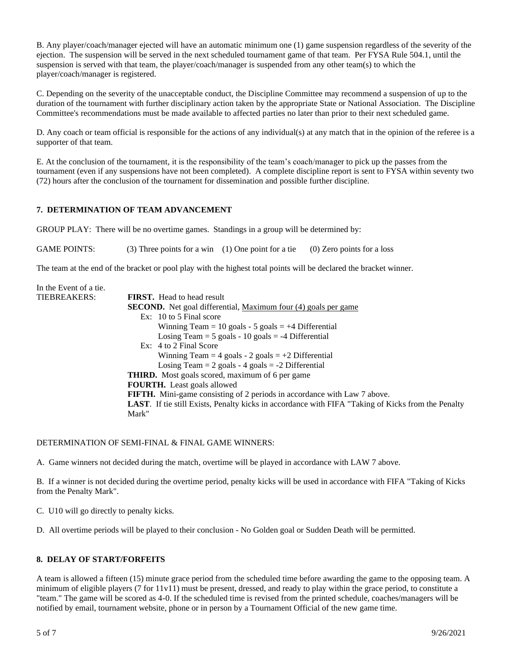B. Any player/coach/manager ejected will have an automatic minimum one (1) game suspension regardless of the severity of the ejection. The suspension will be served in the next scheduled tournament game of that team. Per FYSA Rule 504.1, until the suspension is served with that team, the player/coach/manager is suspended from any other team(s) to which the player/coach/manager is registered.

C. Depending on the severity of the unacceptable conduct, the Discipline Committee may recommend a suspension of up to the duration of the tournament with further disciplinary action taken by the appropriate State or National Association. The Discipline Committee's recommendations must be made available to affected parties no later than prior to their next scheduled game.

D. Any coach or team official is responsible for the actions of any individual(s) at any match that in the opinion of the referee is a supporter of that team.

E. At the conclusion of the tournament, it is the responsibility of the team's coach/manager to pick up the passes from the tournament (even if any suspensions have not been completed). A complete discipline report is sent to FYSA within seventy two (72) hours after the conclusion of the tournament for dissemination and possible further discipline.

# **7. DETERMINATION OF TEAM ADVANCEMENT**

GROUP PLAY: There will be no overtime games. Standings in a group will be determined by:

GAME POINTS: (3) Three points for a win (1) One point for a tie (0) Zero points for a loss

The team at the end of the bracket or pool play with the highest total points will be declared the bracket winner.

| In the Event of a tie. |                                                                                                           |
|------------------------|-----------------------------------------------------------------------------------------------------------|
| TIEBREAKERS:           | <b>FIRST.</b> Head to head result                                                                         |
|                        | <b>SECOND.</b> Net goal differential, Maximum four (4) goals per game                                     |
|                        | $Ex: 10 to 5$ Final score                                                                                 |
|                        | Winning Team = 10 goals - 5 goals = $+4$ Differential                                                     |
|                        | Losing Team = $5$ goals - 10 goals = -4 Differential                                                      |
|                        | Ex: 4 to 2 Final Score                                                                                    |
|                        | Winning Team = 4 goals - 2 goals = $+2$ Differential                                                      |
|                        | Losing Team = $2$ goals - $4$ goals = $-2$ Differential                                                   |
|                        | <b>THIRD.</b> Most goals scored, maximum of 6 per game                                                    |
|                        | <b>FOURTH.</b> Least goals allowed                                                                        |
|                        | <b>FIFTH.</b> Mini-game consisting of 2 periods in accordance with Law 7 above.                           |
|                        | <b>LAST.</b> If tie still Exists, Penalty kicks in accordance with FIFA "Taking of Kicks from the Penalty |
|                        | Mark"                                                                                                     |
|                        |                                                                                                           |

## DETERMINATION OF SEMI-FINAL & FINAL GAME WINNERS:

A. Game winners not decided during the match, overtime will be played in accordance with LAW 7 above.

B. If a winner is not decided during the overtime period, penalty kicks will be used in accordance with FIFA "Taking of Kicks from the Penalty Mark".

C. U10 will go directly to penalty kicks.

D. All overtime periods will be played to their conclusion - No Golden goal or Sudden Death will be permitted.

## **8. DELAY OF START/FORFEITS**

A team is allowed a fifteen (15) minute grace period from the scheduled time before awarding the game to the opposing team. A minimum of eligible players (7 for 11v11) must be present, dressed, and ready to play within the grace period, to constitute a "team." The game will be scored as 4-0. If the scheduled time is revised from the printed schedule, coaches/managers will be notified by email, tournament website, phone or in person by a Tournament Official of the new game time.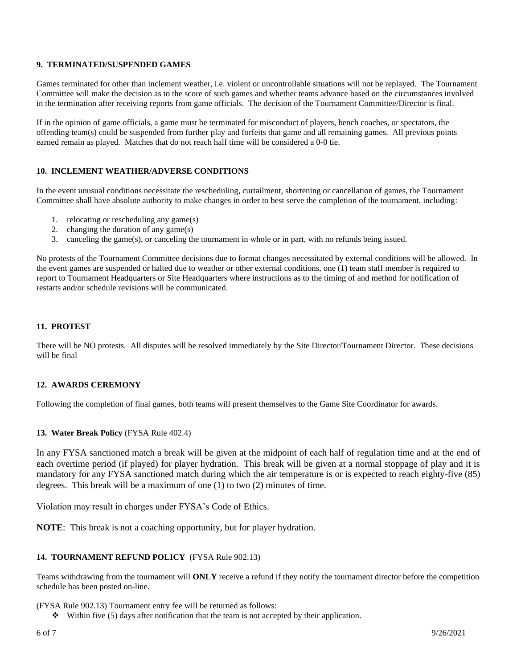#### **9. TERMINATED/SUSPENDED GAMES**

Games terminated for other than inclement weather, i.e. violent or uncontrollable situations will not be replayed. The Tournament Committee will make the decision as to the score of such games and whether teams advance based on the circumstances involved in the termination after receiving reports from game officials. The decision of the Tournament Committee/Director is final.

If in the opinion of game officials, a game must be terminated for misconduct of players, bench coaches, or spectators, the offending team(s) could be suspended from further play and forfeits that game and all remaining games. All previous points earned remain as played. Matches that do not reach half time will be considered a 0-0 tie.

## **10. INCLEMENT WEATHER/ADVERSE CONDITIONS**

In the event unusual conditions necessitate the rescheduling, curtailment, shortening or cancellation of games, the Tournament Committee shall have absolute authority to make changes in order to best serve the completion of the tournament, including:

- 1. relocating or rescheduling any game(s)
- 2. changing the duration of any game(s)
- 3. canceling the game(s), or canceling the tournament in whole or in part, with no refunds being issued.

No protests of the Tournament Committee decisions due to format changes necessitated by external conditions will be allowed. In the event games are suspended or halted due to weather or other external conditions, one (1) team staff member is required to report to Tournament Headquarters or Site Headquarters where instructions as to the timing of and method for notification of restarts and/or schedule revisions will be communicated.

#### **11. PROTEST**

There will be NO protests. All disputes will be resolved immediately by the Site Director/Tournament Director. These decisions will be final

#### **12. AWARDS CEREMONY**

Following the completion of final games, both teams will present themselves to the Game Site Coordinator for awards.

#### **13. Water Break Policy** (FYSA Rule 402.4)

In any FYSA sanctioned match a break will be given at the midpoint of each half of regulation time and at the end of each overtime period (if played) for player hydration. This break will be given at a normal stoppage of play and it is mandatory for any FYSA sanctioned match during which the air temperature is or is expected to reach eighty-five (85) degrees. This break will be a maximum of one (1) to two (2) minutes of time.

Violation may result in charges under FYSA's Code of Ethics.

**NOTE**: This break is not a coaching opportunity, but for player hydration.

#### **14. TOURNAMENT REFUND POLICY** (FYSA Rule 902.13)

Teams withdrawing from the tournament will **ONLY** receive a refund if they notify the tournament director before the competition schedule has been posted on-line.

(FYSA Rule 902.13) Tournament entry fee will be returned as follows:

 $\bullet$  Within five (5) days after notification that the team is not accepted by their application.